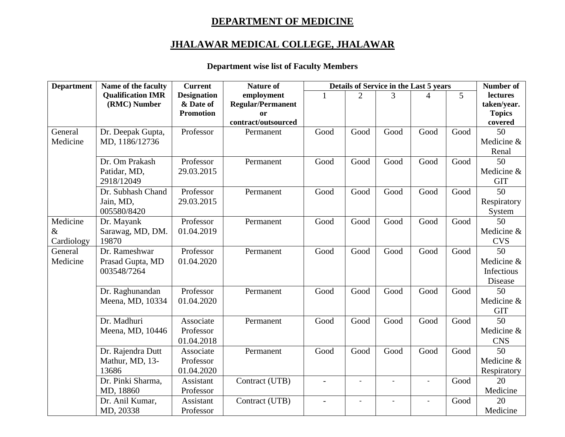## **DEPARTMENT OF MEDICINE**

## **JHALAWAR MEDICAL COLLEGE, JHALAWAR**

## **Department wise list of Faculty Members**

| <b>Department</b> | Name of the faculty      | <b>Current</b>     | <b>Nature of</b>         | Details of Service in the Last 5 years |                          |                          |                          | Number of      |                 |
|-------------------|--------------------------|--------------------|--------------------------|----------------------------------------|--------------------------|--------------------------|--------------------------|----------------|-----------------|
|                   | <b>Qualification IMR</b> | <b>Designation</b> | employment               |                                        | $\mathcal{D}_{\cdot}$    | 3                        |                          | $\overline{5}$ | lectures        |
|                   | (RMC) Number             | & Date of          | <b>Regular/Permanent</b> |                                        |                          |                          |                          |                | taken/year.     |
|                   |                          | <b>Promotion</b>   | or                       |                                        |                          |                          |                          |                | <b>Topics</b>   |
|                   |                          |                    | contract/outsourced      |                                        |                          |                          |                          |                | covered         |
| General           | Dr. Deepak Gupta,        | Professor          | Permanent                | Good                                   | Good                     | Good                     | Good                     | Good           | 50              |
| Medicine          | MD, 1186/12736           |                    |                          |                                        |                          |                          |                          |                | Medicine &      |
|                   |                          |                    |                          |                                        |                          |                          |                          |                | Renal           |
|                   | Dr. Om Prakash           | Professor          | Permanent                | Good                                   | Good                     | Good                     | Good                     | Good           | 50              |
|                   | Patidar, MD,             | 29.03.2015         |                          |                                        |                          |                          |                          |                | Medicine &      |
|                   | 2918/12049               |                    |                          |                                        |                          |                          |                          |                | <b>GIT</b>      |
|                   | Dr. Subhash Chand        | Professor          | Permanent                | Good                                   | Good                     | Good                     | Good                     | Good           | 50              |
|                   | Jain, MD,                | 29.03.2015         |                          |                                        |                          |                          |                          |                | Respiratory     |
|                   | 005580/8420              |                    |                          |                                        |                          |                          |                          |                | System          |
| Medicine          | Dr. Mayank               | Professor          | Permanent                | Good                                   | Good                     | Good                     | Good                     | Good           | 50              |
| $\&$              | Sarawag, MD, DM.         | 01.04.2019         |                          |                                        |                          |                          |                          |                | Medicine &      |
| Cardiology        | 19870                    |                    |                          |                                        |                          |                          |                          |                | <b>CVS</b>      |
| General           | Dr. Rameshwar            | Professor          | Permanent                | Good                                   | Good                     | Good                     | Good                     | Good           | $\overline{50}$ |
| Medicine          | Prasad Gupta, MD         | 01.04.2020         |                          |                                        |                          |                          |                          |                | Medicine &      |
|                   | 003548/7264              |                    |                          |                                        |                          |                          |                          |                | Infectious      |
|                   |                          |                    |                          |                                        |                          |                          |                          |                | Disease         |
|                   | Dr. Raghunandan          | Professor          | Permanent                | Good                                   | Good                     | Good                     | Good                     | Good           | 50              |
|                   | Meena, MD, 10334         | 01.04.2020         |                          |                                        |                          |                          |                          |                | Medicine &      |
|                   |                          |                    |                          |                                        |                          |                          |                          |                | <b>GIT</b>      |
|                   | Dr. Madhuri              | Associate          | Permanent                | Good                                   | Good                     | Good                     | Good                     | Good           | 50              |
|                   | Meena, MD, 10446         | Professor          |                          |                                        |                          |                          |                          |                | Medicine &      |
|                   |                          | 01.04.2018         |                          |                                        |                          |                          |                          |                | <b>CNS</b>      |
|                   | Dr. Rajendra Dutt        | Associate          | Permanent                | Good                                   | Good                     | Good                     | Good                     | Good           | $\overline{50}$ |
|                   | Mathur, MD, 13-          | Professor          |                          |                                        |                          |                          |                          |                | Medicine &      |
|                   | 13686                    | 01.04.2020         |                          |                                        |                          |                          |                          |                | Respiratory     |
|                   | Dr. Pinki Sharma,        | Assistant          | Contract (UTB)           | $\overline{a}$                         |                          |                          | $\overline{a}$           | Good           | 20              |
|                   | MD, 18860                | Professor          |                          |                                        |                          |                          |                          |                | Medicine        |
|                   | Dr. Anil Kumar,          | Assistant          | Contract (UTB)           | $\qquad \qquad -$                      | $\overline{\phantom{a}}$ | $\overline{\phantom{a}}$ | $\overline{\phantom{a}}$ | Good           | 20              |
|                   | MD, 20338                | Professor          |                          |                                        |                          |                          |                          |                | Medicine        |